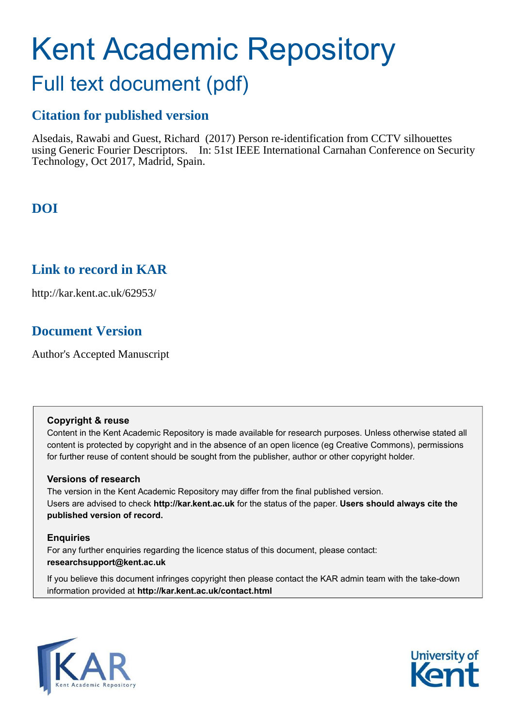# Kent Academic Repository

## Full text document (pdf)

## **Citation for published version**

Alsedais, Rawabi and Guest, Richard (2017) Person re-identification from CCTV silhouettes using Generic Fourier Descriptors. In: 51st IEEE International Carnahan Conference on Security Technology, Oct 2017, Madrid, Spain.

## **DOI**

## **Link to record in KAR**

http://kar.kent.ac.uk/62953/

## **Document Version**

Author's Accepted Manuscript

#### **Copyright & reuse**

Content in the Kent Academic Repository is made available for research purposes. Unless otherwise stated all content is protected by copyright and in the absence of an open licence (eg Creative Commons), permissions for further reuse of content should be sought from the publisher, author or other copyright holder.

#### **Versions of research**

The version in the Kent Academic Repository may differ from the final published version. Users are advised to check **http://kar.kent.ac.uk** for the status of the paper. **Users should always cite the published version of record.**

#### **Enquiries**

For any further enquiries regarding the licence status of this document, please contact: **researchsupport@kent.ac.uk**

If you believe this document infringes copyright then please contact the KAR admin team with the take-down information provided at **http://kar.kent.ac.uk/contact.html**



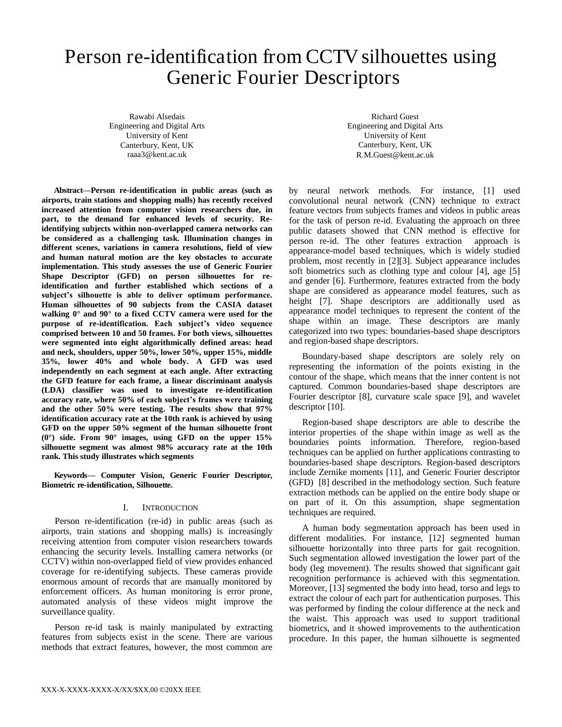## Person re-identification from CCTV silhouettes using Generic Fourier Descriptors

Rawabi Alsedais Engineering and Digital Arts University of Kent Canterbury, Kent, UK raaa3@kent.ac.uk

**Abstract—Person re-identification in public areas (such as airports, train stations and shopping malls) has recently received increased attention from computer vision researchers due, in part, to the demand for enhanced levels of security. Reidentifying subjects within non-overlapped camera networks can be considered as a challenging task. Illumination changes in different scenes, variations in camera resolutions, field of view and human natural motion are the key obstacles to accurate implementation. This study assesses the use of Generic Fourier Shape Descriptor (GFD) on person silhouettes for reidentification and further established which sections of a subject's silhouette is able to deliver optimum performance. Human silhouettes of 90 subjects from the CASIA dataset walking 0° and 90° to a fixed CCTV camera were used for the purpose of re-identification. Each subject's video sequence comprised between 10 and 50 frames. For both views, silhouettes were segmented into eight algorithmically defined areas: head and neck, shoulders, upper 50%, lower 50%, upper 15%, middle 35%, lower 40% and whole body. A GFD was used independently on each segment at each angle. After extracting the GFD feature for each frame, a linear discriminant analysis (LDA) classifier was used to investigate re-identification accuracy rate, where 50% of each subject's frames were training and the other 50% were testing. The results show that 97% identification accuracy rate at the 10th rank is achieved by using GFD on the upper 50% segment of the human silhouette front (0°) side. From 90° images, using GFD on the upper 15% silhouette segment was almost 98% accuracy rate at the 10th rank. This study illustrates which segments** 

**Keywords***—* **Computer Vision, Generic Fourier Descriptor, Biometric re-identification, Silhouette.** 

#### I. INTRODUCTION

Person re-identification (re-id) in public areas (such as airports, train stations and shopping malls) is increasingly receiving attention from computer vision researchers towards enhancing the security levels. Installing camera networks (or CCTV) within non-overlapped field of view provides enhanced coverage for re-identifying subjects. These cameras provide enormous amount of records that are manually monitored by enforcement officers. As human monitoring is error prone, automated analysis of these videos might improve the surveillance quality.

Person re-id task is mainly manipulated by extracting features from subjects exist in the scene. There are various methods that extract features, however, the most common are

Richard Guest Engineering and Digital Arts University of Kent Canterbury, Kent, UK R.M.Guest@kent.ac.uk

by neural network methods. For instance, [1] used convolutional neural network (CNN) technique to extract feature vectors from subjects frames and videos in public areas for the task of person re-id. Evaluating the approach on three public datasets showed that CNN method is effective for person re-id. The other features extraction approach is appearance-model based techniques, which is widely studied problem, most recently in [2][3]. Subject appearance includes soft biometrics such as clothing type and colour [4], age [5] and gender [6]. Furthermore, features extracted from the body shape are considered as appearance model features, such as height [7]. Shape descriptors are additionally used as appearance model techniques to represent the content of the shape within an image. These descriptors are manly categorized into two types: boundaries-based shape descriptors and region-based shape descriptors.

Boundary-based shape descriptors are solely rely on representing the information of the points existing in the contour of the shape, which means that the inner content is not captured. Common boundaries-based shape descriptors are Fourier descriptor [8], curvature scale space [9], and wavelet descriptor [10].

Region-based shape descriptors are able to describe the interior properties of the shape within image as well as the boundaries points information. Therefore, region-based techniques can be applied on further applications contrasting to boundaries-based shape descriptors. Region-based descriptors include Zernike moments [11], and Generic Fourier descriptor (GFD) [8] described in the methodology section. Such feature extraction methods can be applied on the entire body shape or on part of it. On this assumption, shape segmentation techniques are required.

A human body segmentation approach has been used in different modalities. For instance, [12] segmented human silhouette horizontally into three parts for gait recognition. Such segmentation allowed investigation the lower part of the body (leg movement). The results showed that significant gait recognition performance is achieved with this segmentation. Moreover, [13] segmented the body into head, torso and legs to extract the colour of each part for authentication purposes. This was performed by finding the colour difference at the neck and the waist. This approach was used to support traditional biometrics, and it showed improvements to the authentication procedure. In this paper, the human silhouette is segmented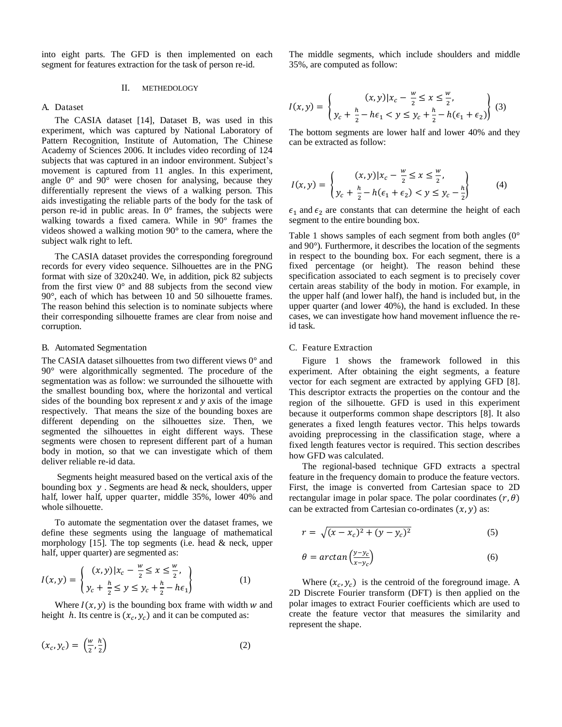into eight parts. The GFD is then implemented on each segment for features extraction for the task of person re-id.

#### II. METHEDOLOGY

#### A. Dataset

The CASIA dataset [14], Dataset B, was used in this experiment, which was captured by National Laboratory of Pattern Recognition, Institute of Automation, The Chinese Academy of Sciences 2006. It includes video recording of 124 subjects that was captured in an indoor environment. Subject's movement is captured from 11 angles. In this experiment, angle 0° and 90° were chosen for analysing, because they differentially represent the views of a walking person. This aids investigating the reliable parts of the body for the task of person re-id in public areas. In 0° frames, the subjects were walking towards a fixed camera. While in 90° frames the videos showed a walking motion 90° to the camera, where the subject walk right to left.

The CASIA dataset provides the corresponding foreground records for every video sequence. Silhouettes are in the PNG format with size of 320x240. We, in addition, pick 82 subjects from the first view  $0^{\circ}$  and 88 subjects from the second view 90°, each of which has between 10 and 50 silhouette frames. The reason behind this selection is to nominate subjects where their corresponding silhouette frames are clear from noise and corruption.

#### B. Automated Segmentation

The CASIA dataset silhouettes from two different views 0° and 90° were algorithmically segmented. The procedure of the segmentation was as follow: we surrounded the silhouette with the smallest bounding box, where the horizontal and vertical sides of the bounding box represent  $x$  and  $y$  axis of the image respectively. That means the size of the bounding boxes are different depending on the silhouettes size. Then, we segmented the silhouettes in eight different ways. These segments were chosen to represent different part of a human body in motion, so that we can investigate which of them deliver reliable re-id data.

 Segments height measured based on the vertical axis of the bounding box  $y$ . Segments are head  $\&$  neck, shoulders, upper half, lower half, upper quarter, middle 35%, lower 40% and whole silhouette.

To automate the segmentation over the dataset frames, we define these segments using the language of mathematical morphology [15]. The top segments (i.e. head  $&$  neck, upper half, upper quarter) are segmented as:

$$
I(x,y) = \begin{cases} (x,y)|x_c - \frac{w}{2} \le x \le \frac{w}{2}, \\ y_c + \frac{h}{2} \le y \le y_c + \frac{h}{2} - h\epsilon_1 \end{cases}
$$
 (1)

Where  $I(x, y)$  is the bounding box frame with width w and height h. Its centre is  $(x_c, y_c)$  and it can be computed as:

$$
(x_c, y_c) = \left(\frac{w}{2}, \frac{h}{2}\right) \tag{2}
$$

The middle segments, which include shoulders and middle 35%, are computed as follow:

$$
I(x,y) = \begin{cases} (x,y)|x_c - \frac{w}{2} \le x \le \frac{w}{2}, \\ y_c + \frac{h}{2} - h\epsilon_1 < y \le y_c + \frac{h}{2} - h(\epsilon_1 + \epsilon_2) \end{cases} \tag{3}
$$

The bottom segments are lower half and lower 40% and they can be extracted as follow:

$$
I(x,y) = \begin{cases} (x,y)|x_c - \frac{w}{2} \le x \le \frac{w}{2}, \\ y_c + \frac{h}{2} - h(\epsilon_1 + \epsilon_2) < y \le y_c - \frac{h}{2} \end{cases} \tag{4}
$$

 $\epsilon_1$  and  $\epsilon_2$  are constants that can determine the height of each segment to the entire bounding box.

Table 1 shows samples of each segment from both angles (0° and 90°). Furthermore, it describes the location of the segments in respect to the bounding box. For each segment, there is a fixed percentage (or height). The reason behind these specification associated to each segment is to precisely cover certain areas stability of the body in motion. For example, in the upper half (and lower half), the hand is included but, in the upper quarter (and lower 40%), the hand is excluded. In these cases, we can investigate how hand movement influence the reid task.

#### C. Feature Extraction

Figure 1 shows the framework followed in this experiment. After obtaining the eight segments, a feature vector for each segment are extracted by applying GFD [8]. This descriptor extracts the properties on the contour and the region of the silhouette. GFD is used in this experiment because it outperforms common shape descriptors [8]. It also generates a fixed length features vector. This helps towards avoiding preprocessing in the classification stage, where a fixed length features vector is required. This section describes how GFD was calculated.

The regional-based technique GFD extracts a spectral feature in the frequency domain to produce the feature vectors. First, the image is converted from Cartesian space to 2D rectangular image in polar space. The polar coordinates  $(r, \theta)$ can be extracted from Cartesian co-ordinates  $(x, y)$  as:

$$
r = \sqrt{(x - x_c)^2 + (y - y_c)^2}
$$
 (5)

$$
\theta = \arctan\left(\frac{y - y_c}{x - y_c}\right) \tag{6}
$$

Where  $(x_c, y_c)$  is the centroid of the foreground image. A 2D Discrete Fourier transform (DFT) is then applied on the polar images to extract Fourier coefficients which are used to create the feature vector that measures the similarity and represent the shape.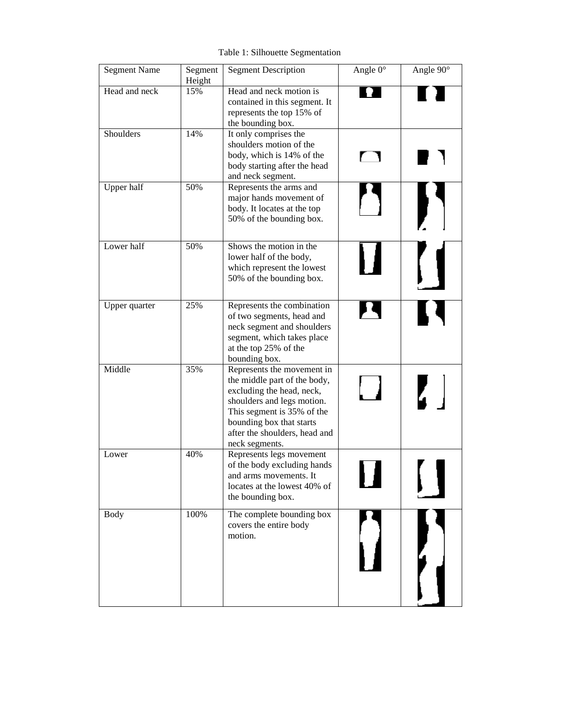Table 1: Silhouette Segmentation

| <b>Segment Name</b> | Segment<br>Height | <b>Segment Description</b>                                                                                                                                                                                                         | Angle $0^\circ$ | Angle 90° |
|---------------------|-------------------|------------------------------------------------------------------------------------------------------------------------------------------------------------------------------------------------------------------------------------|-----------------|-----------|
| Head and neck       | 15%               | Head and neck motion is<br>contained in this segment. It<br>represents the top 15% of<br>the bounding box.                                                                                                                         |                 |           |
| Shoulders           | 14%               | It only comprises the<br>shoulders motion of the<br>body, which is 14% of the<br>body starting after the head<br>and neck segment.                                                                                                 |                 |           |
| Upper half          | 50%               | Represents the arms and<br>major hands movement of<br>body. It locates at the top<br>50% of the bounding box.                                                                                                                      |                 |           |
| Lower half          | 50%               | Shows the motion in the<br>lower half of the body,<br>which represent the lowest<br>50% of the bounding box.                                                                                                                       |                 |           |
| Upper quarter       | 25%               | Represents the combination<br>of two segments, head and<br>neck segment and shoulders<br>segment, which takes place<br>at the top 25% of the<br>bounding box.                                                                      |                 |           |
| Middle              | 35%               | Represents the movement in<br>the middle part of the body,<br>excluding the head, neck,<br>shoulders and legs motion.<br>This segment is 35% of the<br>bounding box that starts<br>after the shoulders, head and<br>neck segments. |                 |           |
| Lower               | 40%               | Represents legs movement<br>of the body excluding hands<br>and arms movements. It<br>locates at the lowest 40% of<br>the bounding box.                                                                                             |                 |           |
| <b>Body</b>         | 100%              | The complete bounding box<br>covers the entire body<br>motion.                                                                                                                                                                     |                 |           |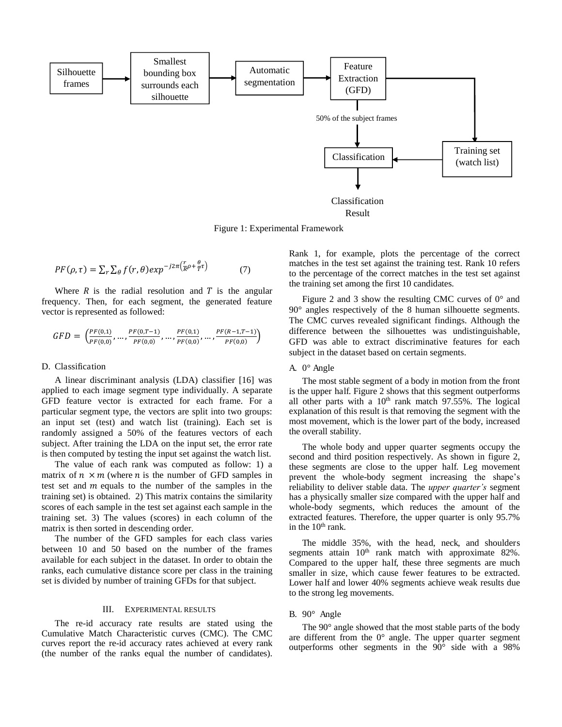

Figure 1: Experimental Framework

$$
PF(\rho,\tau) = \sum_{r} \sum_{\theta} f(r,\theta) exp^{-j2\pi (\frac{r}{R}\rho + \frac{\theta}{T}\tau)}
$$
(7)

Where  $R$  is the radial resolution and  $T$  is the angular frequency. Then, for each segment, the generated feature vector is represented as followed:

$$
GFD = \left(\frac{PF(0,1)}{PF(0,0)}, \dots, \frac{PF(0,T-1)}{PF(0,0)}, \dots, \frac{PF(0,1)}{PF(0,0)}, \dots, \frac{PF(R-1,T-1)}{PF(0,0)}\right)
$$

#### D. Classification

A linear discriminant analysis (LDA) classifier [16] was applied to each image segment type individually. A separate GFD feature vector is extracted for each frame. For a particular segment type, the vectors are split into two groups: an input set (test) and watch list (training). Each set is randomly assigned a 50% of the features vectors of each subject. After training the LDA on the input set, the error rate is then computed by testing the input set against the watch list.

The value of each rank was computed as follow: 1) a matrix of  $n \times m$  (where *n* is the number of GFD samples in test set and  $m$  equals to the number of the samples in the training set) is obtained. 2) This matrix contains the similarity scores of each sample in the test set against each sample in the training set. 3) The values (scores) in each column of the matrix is then sorted in descending order.

The number of the GFD samples for each class varies between 10 and 50 based on the number of the frames available for each subject in the dataset. In order to obtain the ranks, each cumulative distance score per class in the training set is divided by number of training GFDs for that subject.

#### III. EXPERIMENTAL RESULTS

The re-id accuracy rate results are stated using the Cumulative Match Characteristic curves (CMC). The CMC curves report the re-id accuracy rates achieved at every rank (the number of the ranks equal the number of candidates). Rank 1, for example, plots the percentage of the correct matches in the test set against the training test. Rank 10 refers to the percentage of the correct matches in the test set against the training set among the first 10 candidates.

Figure 2 and 3 show the resulting CMC curves of  $0^{\circ}$  and 90° angles respectively of the 8 human silhouette segments. The CMC curves revealed significant findings. Although the difference between the silhouettes was undistinguishable, GFD was able to extract discriminative features for each subject in the dataset based on certain segments.

#### A. 0° Angle

The most stable segment of a body in motion from the front is the upper half. Figure 2 shows that this segment outperforms all other parts with a  $10<sup>th</sup>$  rank match 97.55%. The logical explanation of this result is that removing the segment with the most movement, which is the lower part of the body, increased the overall stability.

The whole body and upper quarter segments occupy the second and third position respectively. As shown in figure 2, these segments are close to the upper half. Leg movement prevent the whole-body segment increasing the shape's reliability to deliver stable data. The *upper quarter's* segment has a physically smaller size compared with the upper half and whole-body segments, which reduces the amount of the extracted features. Therefore, the upper quarter is only 95.7% in the  $10<sup>th</sup>$  rank.

The middle 35%, with the head, neck, and shoulders segments attain  $10<sup>th</sup>$  rank match with approximate 82%. Compared to the upper half, these three segments are much smaller in size, which cause fewer features to be extracted. Lower half and lower 40% segments achieve weak results due to the strong leg movements.

#### B. 90° Angle

 The 90° angle showed that the most stable parts of the body are different from the  $0^{\circ}$  angle. The upper quarter segment outperforms other segments in the 90° side with a 98%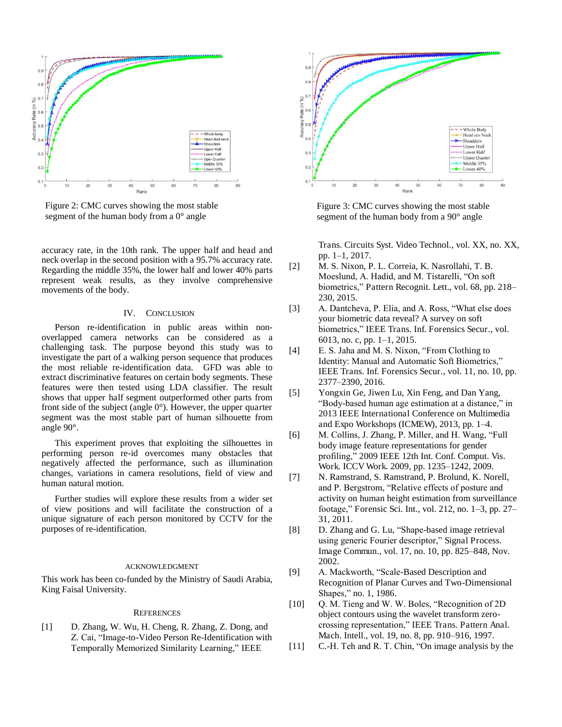

Figure 2: CMC curves showing the most stable segment of the human body from a 0° angle

accuracy rate, in the 10th rank. The upper half and head and neck overlap in the second position with a 95.7% accuracy rate. Regarding the middle 35%, the lower half and lower 40% parts represent weak results, as they involve comprehensive movements of the body.

#### IV. CONCLUSION

 Person re-identification in public areas within nonoverlapped camera networks can be considered as a challenging task. The purpose beyond this study was to investigate the part of a walking person sequence that produces the most reliable re-identification data. GFD was able to extract discriminative features on certain body segments. These features were then tested using LDA classifier. The result shows that upper half segment outperformed other parts from front side of the subject (angle 0°). However, the upper quarter segment was the most stable part of human silhouette from angle 90°.

 This experiment proves that exploiting the silhouettes in performing person re-id overcomes many obstacles that negatively affected the performance, such as illumination changes, variations in camera resolutions, field of view and human natural motion.

Further studies will explore these results from a wider set of view positions and will facilitate the construction of a unique signature of each person monitored by CCTV for the purposes of re-identification.

#### ACKNOWLEDGMENT

This work has been co-funded by the Ministry of Saudi Arabia, King Faisal University.

#### **REFERENCES**

[1] D. Zhang, W. Wu, H. Cheng, R. Zhang, Z. Dong, and Z. Cai, "Image-to-Video Person Re-Identification with Temporally Memorized Similarity Learning," IEEE



Figure 3: CMC curves showing the most stable segment of the human body from a 90° angle

Trans. Circuits Syst. Video Technol., vol. XX, no. XX, pp. 1–1, 2017.

- [2] M. S. Nixon, P. L. Correia, K. Nasrollahi, T. B. Moeslund, A. Hadid, and M. Tistarelli, "On soft biometrics," Pattern Recognit. Lett., vol. 68, pp. 218– 230, 2015.
- [3] A. Dantcheva, P. Elia, and A. Ross, "What else does your biometric data reveal? A survey on soft biometrics," IEEE Trans. Inf. Forensics Secur., vol. 6013, no. c, pp. 1–1, 2015.
- [4] E. S. Jaha and M. S. Nixon, "From Clothing to Identity: Manual and Automatic Soft Biometrics," IEEE Trans. Inf. Forensics Secur., vol. 11, no. 10, pp. 2377–2390, 2016.
- [5] Yongxin Ge, Jiwen Lu, Xin Feng, and Dan Yang, "Body-based human age estimation at a distance," in 2013 IEEE International Conference on Multimedia and Expo Workshops (ICMEW), 2013, pp. 1–4.
- [6] M. Collins, J. Zhang, P. Miller, and H. Wang, "Full body image feature representations for gender profiling," 2009 IEEE 12th Int. Conf. Comput. Vis. Work. ICCV Work. 2009, pp. 1235–1242, 2009.
- [7] N. Ramstrand, S. Ramstrand, P. Brolund, K. Norell, and P. Bergstrom, "Relative effects of posture and activity on human height estimation from surveillance footage," Forensic Sci. Int., vol. 212, no. 1–3, pp. 27– 31, 2011.
- [8] D. Zhang and G. Lu, "Shape-based image retrieval using generic Fourier descriptor," Signal Process. Image Commun., vol. 17, no. 10, pp. 825–848, Nov. 2002.
- [9] A. Mackworth, "Scale-Based Description and Recognition of Planar Curves and Two-Dimensional Shapes," no. 1, 1986.
- [10] Q. M. Tieng and W. W. Boles, "Recognition of 2D object contours using the wavelet transform zerocrossing representation," IEEE Trans. Pattern Anal. Mach. Intell., vol. 19, no. 8, pp. 910–916, 1997.
- [11] C.-H. Teh and R. T. Chin, "On image analysis by the